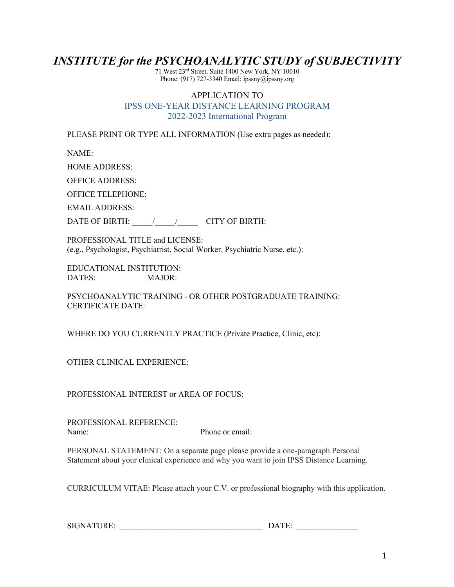## *INSTITUTE for the PSYCHOANALYTIC STUDY of SUBJECTIVITY*

71 West 23 rd Street, Suite 1400 New York, NY 10010 Phone: (917) 727-3340 Email: ipssny@ipssny.org

## APPLICATION TO IPSS ONE-YEAR DISTANCE LEARNING PROGRAM 2022-2023 International Program

PLEASE PRINT OR TYPE ALL INFORMATION (Use extra pages as needed):

NAME:

HOME ADDRESS:

OFFICE ADDRESS:

OFFICE TELEPHONE:

EMAIL ADDRESS:

DATE OF BIRTH: \_\_\_\_\_\_/\_\_\_\_\_\_/\_\_\_\_\_\_\_\_ CITY OF BIRTH:

PROFESSIONAL TITLE and LICENSE: (e.g., Psychologist, Psychiatrist, Social Worker, Psychiatric Nurse, etc.):

EDUCATIONAL INSTITUTION: DATES: MAJOR:

PSYCHOANALYTIC TRAINING - OR OTHER POSTGRADUATE TRAINING: CERTIFICATE DATE:

WHERE DO YOU CURRENTLY PRACTICE (Private Practice, Clinic, etc):

OTHER CLINICAL EXPERIENCE:

PROFESSIONAL INTEREST or AREA OF FOCUS:

PROFESSIONAL REFERENCE: Name: Phone or email:

PERSONAL STATEMENT: On a separate page please provide a one-paragraph Personal Statement about your clinical experience and why you want to join IPSS Distance Learning.

CURRICULUM VITAE: Please attach your C.V. or professional biography with this application.

| SIGNATURE: |
|------------|
|------------|